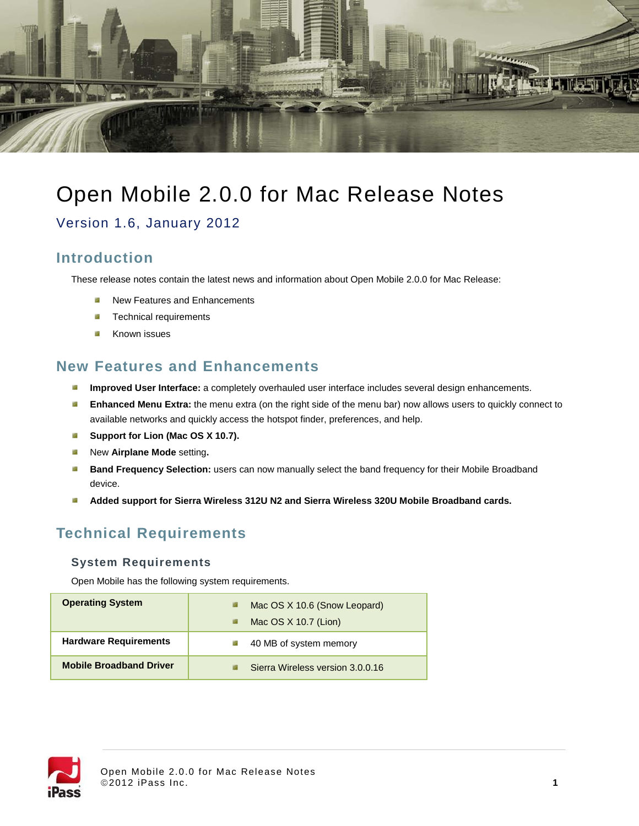

# Open Mobile 2.0.0 for Mac Release Notes

Version 1.6, January 2012

### **Introduction**

These release notes contain the latest news and information about Open Mobile 2.0.0 for Mac Release:

- New Features and Enhancements п.
- п. Technical requirements
- Known issues -2

### **New Features and Enhancements**

- a. **Improved User Interface:** a completely overhauled user interface includes several design enhancements.
- **Enhanced Menu Extra:** the menu extra (on the right side of the menu bar) now allows users to quickly connect to  $\mathbb{R}^2$ available networks and quickly access the hotspot finder, preferences, and help.
- **Support for Lion (Mac OS X 10.7).** a.
- ÷3 New **Airplane Mode** setting**.**
- . **Band Frequency Selection:** users can now manually select the band frequency for their Mobile Broadband device.
- **Added support for Sierra Wireless 312U N2 and Sierra Wireless 320U Mobile Broadband cards.** a.

# **Technical Requirements**

#### **System Requirements**

Open Mobile has the following system requirements.

| <b>Operating System</b>        | Mac OS X 10.6 (Snow Leopard)     |
|--------------------------------|----------------------------------|
|                                | Mac $OS X 10.7$ (Lion)           |
| <b>Hardware Requirements</b>   | 40 MB of system memory           |
| <b>Mobile Broadband Driver</b> | Sierra Wireless version 3.0.0.16 |

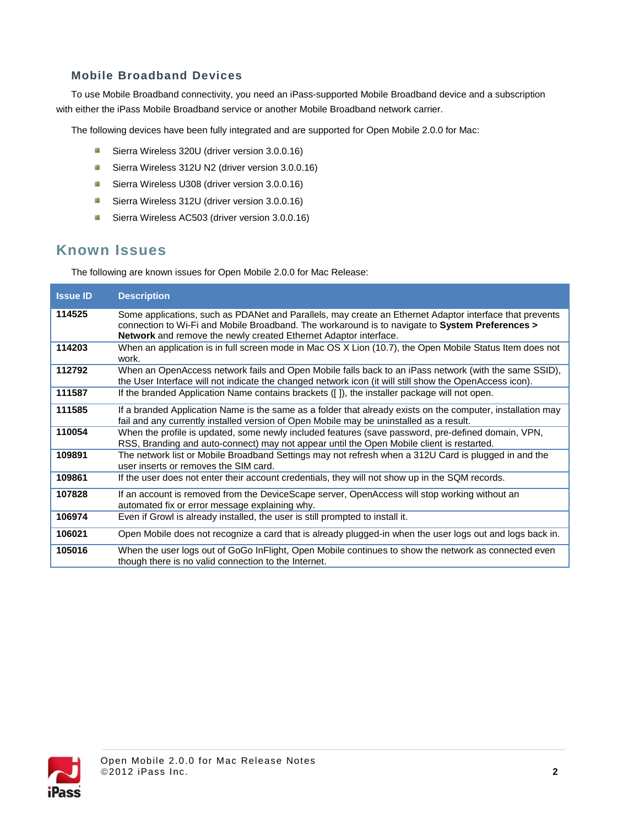### **Mobile Broadband Devices**

To use Mobile Broadband connectivity, you need an iPass-supported Mobile Broadband device and a subscription with either the iPass Mobile Broadband service or another Mobile Broadband network carrier.

The following devices have been fully integrated and are supported for Open Mobile 2.0.0 for Mac:

- $\mathbb{R}^2$ Sierra Wireless 320U (driver version 3.0.0.16)
- $\overrightarrow{a}$ Sierra Wireless 312U N2 (driver version 3.0.0.16)
- **B** Sierra Wireless U308 (driver version 3.0.0.16)
- **B** Sierra Wireless 312U (driver version 3.0.0.16)
- Sierra Wireless AC503 (driver version 3.0.0.16)

### **Known Issues**

The following are known issues for Open Mobile 2.0.0 for Mac Release:

| <b>Issue ID</b> | <b>Description</b>                                                                                                                                                                                                                                                                    |
|-----------------|---------------------------------------------------------------------------------------------------------------------------------------------------------------------------------------------------------------------------------------------------------------------------------------|
| 114525          | Some applications, such as PDANet and Parallels, may create an Ethernet Adaptor interface that prevents<br>connection to Wi-Fi and Mobile Broadband. The workaround is to navigate to System Preferences ><br><b>Network</b> and remove the newly created Ethernet Adaptor interface. |
| 114203          | When an application is in full screen mode in Mac OS X Lion (10.7), the Open Mobile Status Item does not<br>work.                                                                                                                                                                     |
| 112792          | When an OpenAccess network fails and Open Mobile falls back to an iPass network (with the same SSID),<br>the User Interface will not indicate the changed network icon (it will still show the OpenAccess icon).                                                                      |
| 111587          | If the branded Application Name contains brackets ([]), the installer package will not open.                                                                                                                                                                                          |
| 111585          | If a branded Application Name is the same as a folder that already exists on the computer, installation may<br>fail and any currently installed version of Open Mobile may be uninstalled as a result.                                                                                |
| 110054          | When the profile is updated, some newly included features (save password, pre-defined domain, VPN,<br>RSS, Branding and auto-connect) may not appear until the Open Mobile client is restarted.                                                                                       |
| 109891          | The network list or Mobile Broadband Settings may not refresh when a 312U Card is plugged in and the<br>user inserts or removes the SIM card.                                                                                                                                         |
| 109861          | If the user does not enter their account credentials, they will not show up in the SQM records.                                                                                                                                                                                       |
| 107828          | If an account is removed from the DeviceScape server, OpenAccess will stop working without an<br>automated fix or error message explaining why.                                                                                                                                       |
| 106974          | Even if Growl is already installed, the user is still prompted to install it.                                                                                                                                                                                                         |
| 106021          | Open Mobile does not recognize a card that is already plugged-in when the user logs out and logs back in.                                                                                                                                                                             |
| 105016          | When the user logs out of GoGo InFlight, Open Mobile continues to show the network as connected even<br>though there is no valid connection to the Internet.                                                                                                                          |